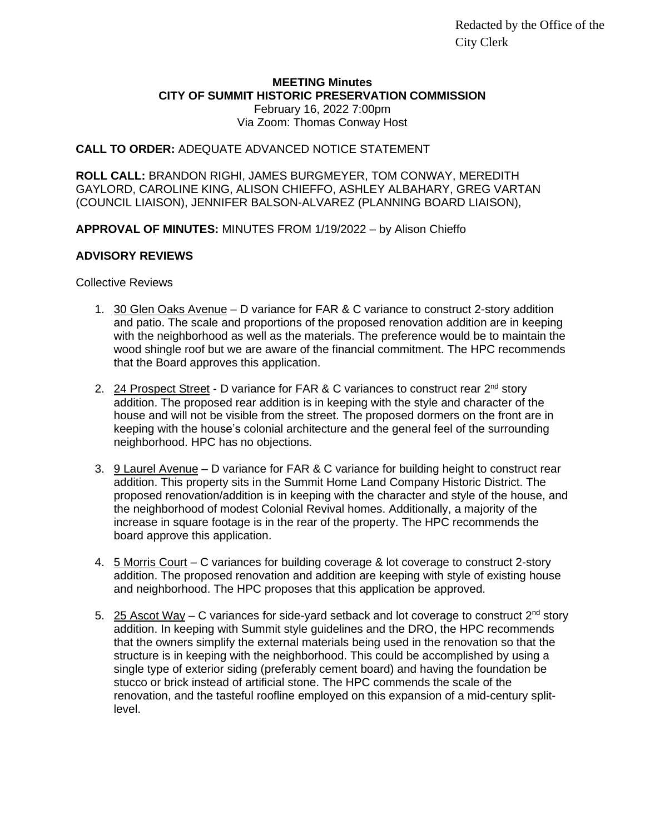Redacted by the Office of the City Clerk

# **MEETING Minutes CITY OF SUMMIT HISTORIC PRESERVATION COMMISSION**

February 16, 2022 7:00pm Via Zoom: Thomas Conway Host

## **CALL TO ORDER:** ADEQUATE ADVANCED NOTICE STATEMENT

**ROLL CALL:** BRANDON RIGHI, JAMES BURGMEYER, TOM CONWAY, MEREDITH GAYLORD, CAROLINE KING, ALISON CHIEFFO, ASHLEY ALBAHARY, GREG VARTAN (COUNCIL LIAISON), JENNIFER BALSON-ALVAREZ (PLANNING BOARD LIAISON),

**APPROVAL OF MINUTES:** MINUTES FROM 1/19/2022 – by Alison Chieffo

### **ADVISORY REVIEWS**

Collective Reviews

- 1. 30 Glen Oaks Avenue D variance for FAR & C variance to construct 2-story addition and patio. The scale and proportions of the proposed renovation addition are in keeping with the neighborhood as well as the materials. The preference would be to maintain the wood shingle roof but we are aware of the financial commitment. The HPC recommends that the Board approves this application.
- 2. 24 Prospect Street D variance for FAR & C variances to construct rear 2<sup>nd</sup> story addition. The proposed rear addition is in keeping with the style and character of the house and will not be visible from the street. The proposed dormers on the front are in keeping with the house's colonial architecture and the general feel of the surrounding neighborhood. HPC has no objections.
- 3. 9 Laurel Avenue D variance for FAR & C variance for building height to construct rear addition. This property sits in the Summit Home Land Company Historic District. The proposed renovation/addition is in keeping with the character and style of the house, and the neighborhood of modest Colonial Revival homes. Additionally, a majority of the increase in square footage is in the rear of the property. The HPC recommends the board approve this application.
- 4. 5 Morris Court C variances for building coverage & lot coverage to construct 2-story addition. The proposed renovation and addition are keeping with style of existing house and neighborhood. The HPC proposes that this application be approved.
- 5.  $25$  Ascot Way C variances for side-yard setback and lot coverage to construct  $2^{nd}$  story addition. In keeping with Summit style guidelines and the DRO, the HPC recommends that the owners simplify the external materials being used in the renovation so that the structure is in keeping with the neighborhood. This could be accomplished by using a single type of exterior siding (preferably cement board) and having the foundation be stucco or brick instead of artificial stone. The HPC commends the scale of the renovation, and the tasteful roofline employed on this expansion of a mid-century splitlevel.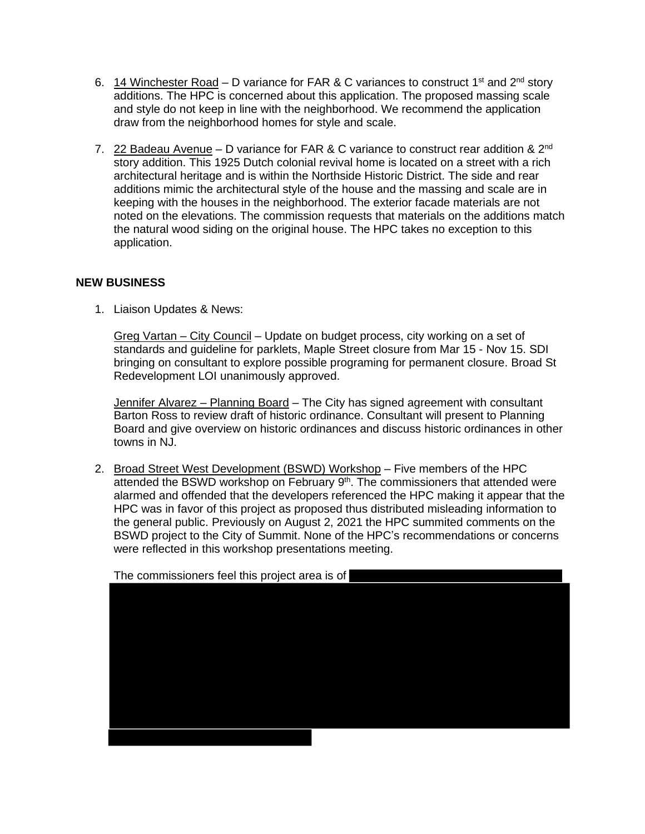- 6. 14 Winchester Road D variance for FAR & C variances to construct 1<sup>st</sup> and 2<sup>nd</sup> story additions. The HPC is concerned about this application. The proposed massing scale and style do not keep in line with the neighborhood. We recommend the application draw from the neighborhood homes for style and scale.
- 7. 22 Badeau Avenue D variance for FAR & C variance to construct rear addition & 2<sup>nd</sup> story addition. This 1925 Dutch colonial revival home is located on a street with a rich architectural heritage and is within the Northside Historic District. The side and rear additions mimic the architectural style of the house and the massing and scale are in keeping with the houses in the neighborhood. The exterior facade materials are not noted on the elevations. The commission requests that materials on the additions match the natural wood siding on the original house. The HPC takes no exception to this application.

## **NEW BUSINESS**

1. Liaison Updates & News:

Greg Vartan – City Council – Update on budget process, city working on a set of standards and guideline for parklets, Maple Street closure from Mar 15 - Nov 15. SDI bringing on consultant to explore possible programing for permanent closure. Broad St Redevelopment LOI unanimously approved.

Jennifer Alvarez – Planning Board – The City has signed agreement with consultant Barton Ross to review draft of historic ordinance. Consultant will present to Planning Board and give overview on historic ordinances and discuss historic ordinances in other towns in NJ.

2. Broad Street West Development (BSWD) Workshop - Five members of the HPC attended the BSWD workshop on February 9<sup>th</sup>. The commissioners that attended were alarmed and offended that the developers referenced the HPC making it appear that the HPC was in favor of this project as proposed thus distributed misleading information to the general public. Previously on August 2, 2021 the HPC summited comments on the BSWD project to the City of Summit. None of the HPC's recommendations or concerns were reflected in this workshop presentations meeting.



The commissioners feel this project area is of